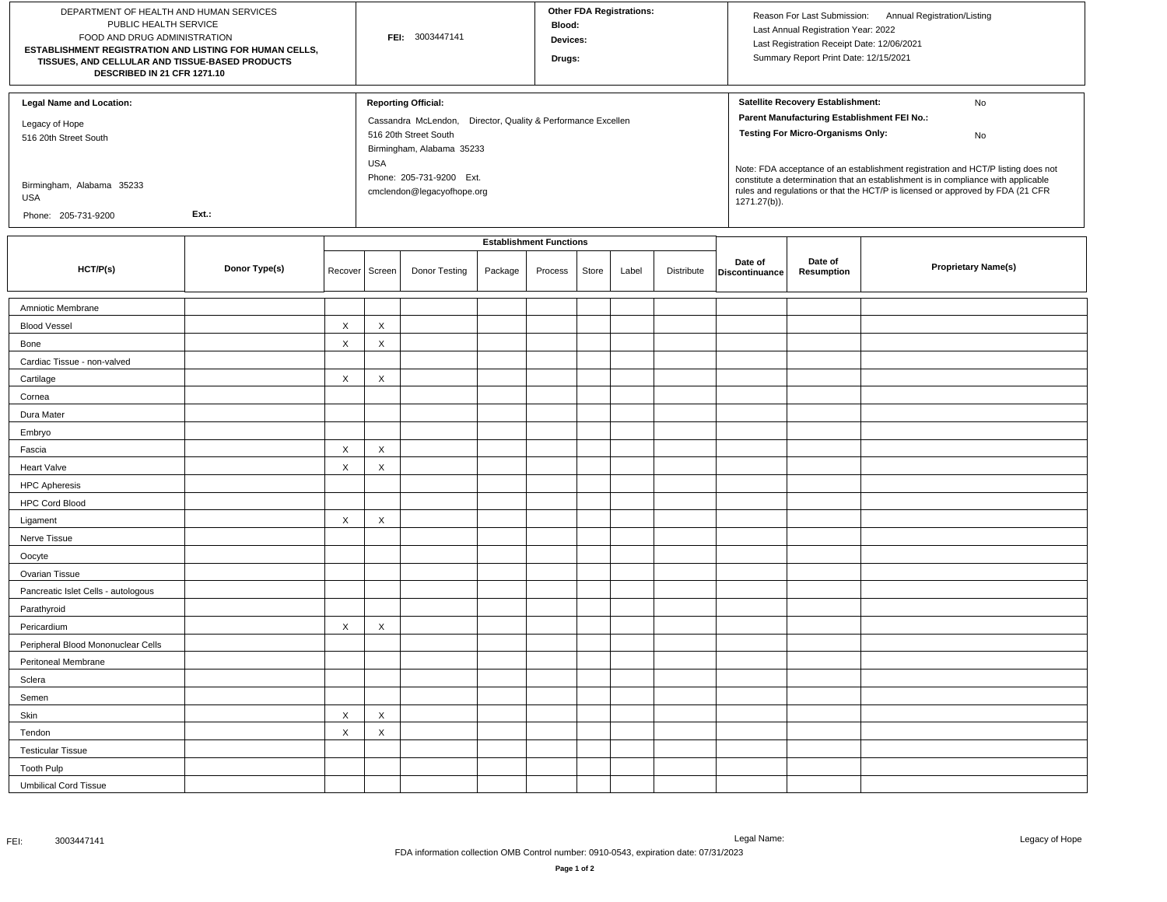| DEPARTMENT OF HEALTH AND HUMAN SERVICES<br>PUBLIC HEALTH SERVICE<br>FOOD AND DRUG ADMINISTRATION<br>ESTABLISHMENT REGISTRATION AND LISTING FOR HUMAN CELLS,<br>TISSUES, AND CELLULAR AND TISSUE-BASED PRODUCTS<br>DESCRIBED IN 21 CFR 1271.10 |               |                           | FEI: 3003447141 |                                                                                                                                                                                                                             |         |                                | <b>Other FDA Registrations:</b><br>Blood:<br>Devices:<br>Drugs: |       |            |                           | Reason For Last Submission: Annual Registration/Listing<br>Last Annual Registration Year: 2022<br>Last Registration Receipt Date: 12/06/2021<br>Summary Report Print Date: 12/15/2021                                                                                                                                                                                                                               |                            |  |
|-----------------------------------------------------------------------------------------------------------------------------------------------------------------------------------------------------------------------------------------------|---------------|---------------------------|-----------------|-----------------------------------------------------------------------------------------------------------------------------------------------------------------------------------------------------------------------------|---------|--------------------------------|-----------------------------------------------------------------|-------|------------|---------------------------|---------------------------------------------------------------------------------------------------------------------------------------------------------------------------------------------------------------------------------------------------------------------------------------------------------------------------------------------------------------------------------------------------------------------|----------------------------|--|
| <b>Legal Name and Location:</b><br>Legacy of Hope<br>516 20th Street South<br>Birmingham, Alabama 35233<br>USA<br>Ext.:<br>Phone: 205-731-9200                                                                                                |               |                           |                 | <b>Reporting Official:</b><br>Cassandra McLendon,<br>Director, Quality & Performance Excellen<br>516 20th Street South<br>Birmingham, Alabama 35233<br><b>USA</b><br>Phone: 205-731-9200 Ext.<br>cmclendon@legacyofhope.org |         |                                |                                                                 |       |            |                           | Satellite Recovery Establishment:<br>No<br>Parent Manufacturing Establishment FEI No.:<br><b>Testing For Micro-Organisms Only:</b><br>No<br>Note: FDA acceptance of an establishment registration and HCT/P listing does not<br>constitute a determination that an establishment is in compliance with applicable<br>rules and regulations or that the HCT/P is licensed or approved by FDA (21 CFR<br>1271.27(b)). |                            |  |
|                                                                                                                                                                                                                                               |               |                           |                 |                                                                                                                                                                                                                             |         | <b>Establishment Functions</b> |                                                                 |       |            |                           |                                                                                                                                                                                                                                                                                                                                                                                                                     |                            |  |
| HCT/P(s)                                                                                                                                                                                                                                      | Donor Type(s) | Recover                   | Screen          | Donor Testing                                                                                                                                                                                                               | Package | Process                        | Store                                                           | Label | Distribute | Date of<br>Discontinuance | Date of<br>Resumption                                                                                                                                                                                                                                                                                                                                                                                               | <b>Proprietary Name(s)</b> |  |
| Amniotic Membrane                                                                                                                                                                                                                             |               |                           |                 |                                                                                                                                                                                                                             |         |                                |                                                                 |       |            |                           |                                                                                                                                                                                                                                                                                                                                                                                                                     |                            |  |
| <b>Blood Vessel</b>                                                                                                                                                                                                                           |               | X                         | X               |                                                                                                                                                                                                                             |         |                                |                                                                 |       |            |                           |                                                                                                                                                                                                                                                                                                                                                                                                                     |                            |  |
| Bone                                                                                                                                                                                                                                          |               | $\mathsf X$               | X               |                                                                                                                                                                                                                             |         |                                |                                                                 |       |            |                           |                                                                                                                                                                                                                                                                                                                                                                                                                     |                            |  |
| Cardiac Tissue - non-valved                                                                                                                                                                                                                   |               |                           |                 |                                                                                                                                                                                                                             |         |                                |                                                                 |       |            |                           |                                                                                                                                                                                                                                                                                                                                                                                                                     |                            |  |
| Cartilage                                                                                                                                                                                                                                     |               | X                         | X               |                                                                                                                                                                                                                             |         |                                |                                                                 |       |            |                           |                                                                                                                                                                                                                                                                                                                                                                                                                     |                            |  |
| Cornea                                                                                                                                                                                                                                        |               |                           |                 |                                                                                                                                                                                                                             |         |                                |                                                                 |       |            |                           |                                                                                                                                                                                                                                                                                                                                                                                                                     |                            |  |
| Dura Mater                                                                                                                                                                                                                                    |               |                           |                 |                                                                                                                                                                                                                             |         |                                |                                                                 |       |            |                           |                                                                                                                                                                                                                                                                                                                                                                                                                     |                            |  |
| Embryo                                                                                                                                                                                                                                        |               |                           |                 |                                                                                                                                                                                                                             |         |                                |                                                                 |       |            |                           |                                                                                                                                                                                                                                                                                                                                                                                                                     |                            |  |
| Fascia                                                                                                                                                                                                                                        |               | X                         | X               |                                                                                                                                                                                                                             |         |                                |                                                                 |       |            |                           |                                                                                                                                                                                                                                                                                                                                                                                                                     |                            |  |
| Heart Valve                                                                                                                                                                                                                                   |               | $\mathsf X$               | X               |                                                                                                                                                                                                                             |         |                                |                                                                 |       |            |                           |                                                                                                                                                                                                                                                                                                                                                                                                                     |                            |  |
| <b>HPC Apheresis</b>                                                                                                                                                                                                                          |               |                           |                 |                                                                                                                                                                                                                             |         |                                |                                                                 |       |            |                           |                                                                                                                                                                                                                                                                                                                                                                                                                     |                            |  |
| <b>HPC Cord Blood</b>                                                                                                                                                                                                                         |               |                           |                 |                                                                                                                                                                                                                             |         |                                |                                                                 |       |            |                           |                                                                                                                                                                                                                                                                                                                                                                                                                     |                            |  |
| Ligament                                                                                                                                                                                                                                      |               | X                         | X               |                                                                                                                                                                                                                             |         |                                |                                                                 |       |            |                           |                                                                                                                                                                                                                                                                                                                                                                                                                     |                            |  |
| Nerve Tissue                                                                                                                                                                                                                                  |               |                           |                 |                                                                                                                                                                                                                             |         |                                |                                                                 |       |            |                           |                                                                                                                                                                                                                                                                                                                                                                                                                     |                            |  |
| Oocyte                                                                                                                                                                                                                                        |               |                           |                 |                                                                                                                                                                                                                             |         |                                |                                                                 |       |            |                           |                                                                                                                                                                                                                                                                                                                                                                                                                     |                            |  |
| Ovarian Tissue                                                                                                                                                                                                                                |               |                           |                 |                                                                                                                                                                                                                             |         |                                |                                                                 |       |            |                           |                                                                                                                                                                                                                                                                                                                                                                                                                     |                            |  |
| Pancreatic Islet Cells - autologous                                                                                                                                                                                                           |               |                           |                 |                                                                                                                                                                                                                             |         |                                |                                                                 |       |            |                           |                                                                                                                                                                                                                                                                                                                                                                                                                     |                            |  |
| Parathyroid                                                                                                                                                                                                                                   |               |                           |                 |                                                                                                                                                                                                                             |         |                                |                                                                 |       |            |                           |                                                                                                                                                                                                                                                                                                                                                                                                                     |                            |  |
| Pericardium                                                                                                                                                                                                                                   |               | X                         | X               |                                                                                                                                                                                                                             |         |                                |                                                                 |       |            |                           |                                                                                                                                                                                                                                                                                                                                                                                                                     |                            |  |
| Peripheral Blood Mononuclear Cells                                                                                                                                                                                                            |               |                           |                 |                                                                                                                                                                                                                             |         |                                |                                                                 |       |            |                           |                                                                                                                                                                                                                                                                                                                                                                                                                     |                            |  |
| Peritoneal Membrane                                                                                                                                                                                                                           |               |                           |                 |                                                                                                                                                                                                                             |         |                                |                                                                 |       |            |                           |                                                                                                                                                                                                                                                                                                                                                                                                                     |                            |  |
| Sclera                                                                                                                                                                                                                                        |               |                           |                 |                                                                                                                                                                                                                             |         |                                |                                                                 |       |            |                           |                                                                                                                                                                                                                                                                                                                                                                                                                     |                            |  |
| Semen                                                                                                                                                                                                                                         |               |                           |                 |                                                                                                                                                                                                                             |         |                                |                                                                 |       |            |                           |                                                                                                                                                                                                                                                                                                                                                                                                                     |                            |  |
| Skin                                                                                                                                                                                                                                          |               | X                         | X               |                                                                                                                                                                                                                             |         |                                |                                                                 |       |            |                           |                                                                                                                                                                                                                                                                                                                                                                                                                     |                            |  |
| Tendon                                                                                                                                                                                                                                        |               | $\boldsymbol{\mathsf{X}}$ | X               |                                                                                                                                                                                                                             |         |                                |                                                                 |       |            |                           |                                                                                                                                                                                                                                                                                                                                                                                                                     |                            |  |
| <b>Testicular Tissue</b>                                                                                                                                                                                                                      |               |                           |                 |                                                                                                                                                                                                                             |         |                                |                                                                 |       |            |                           |                                                                                                                                                                                                                                                                                                                                                                                                                     |                            |  |
| <b>Tooth Pulp</b>                                                                                                                                                                                                                             |               |                           |                 |                                                                                                                                                                                                                             |         |                                |                                                                 |       |            |                           |                                                                                                                                                                                                                                                                                                                                                                                                                     |                            |  |
| <b>Umbilical Cord Tissue</b>                                                                                                                                                                                                                  |               |                           |                 |                                                                                                                                                                                                                             |         |                                |                                                                 |       |            |                           |                                                                                                                                                                                                                                                                                                                                                                                                                     |                            |  |